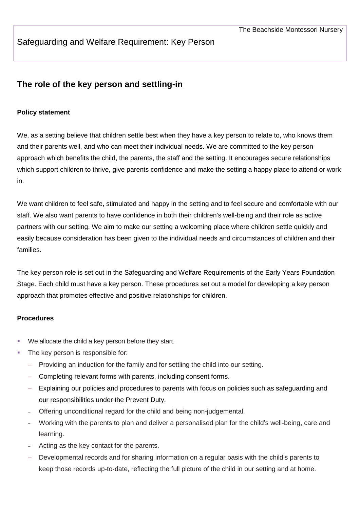## Safeguarding and Welfare Requirement: Key Person

# **The role of the key person and settling-in**

## **Policy statement**

We, as a setting believe that children settle best when they have a key person to relate to, who knows them and their parents well, and who can meet their individual needs. We are committed to the key person approach which benefits the child, the parents, the staff and the setting. It encourages secure relationships which support children to thrive, give parents confidence and make the setting a happy place to attend or work in.

We want children to feel safe, stimulated and happy in the setting and to feel secure and comfortable with our staff. We also want parents to have confidence in both their children's well-being and their role as active partners with our setting. We aim to make our setting a welcoming place where children settle quickly and easily because consideration has been given to the individual needs and circumstances of children and their families.

The key person role is set out in the Safeguarding and Welfare Requirements of the Early Years Foundation Stage. Each child must have a key person. These procedures set out a model for developing a key person approach that promotes effective and positive relationships for children.

#### **Procedures**

- We allocate the child a key person before they start.
- The key person is responsible for:
	- Providing an induction for the family and for settling the child into our setting.
	- Completing relevant forms with parents, including consent forms.
	- Explaining our policies and procedures to parents with focus on policies such as safeguarding and our responsibilities under the Prevent Duty.
	- ‒ Offering unconditional regard for the child and being non-judgemental.
	- ‒ Working with the parents to plan and deliver a personalised plan for the child's well-being, care and learning.
	- Acting as the key contact for the parents.
	- Developmental records and for sharing information on a regular basis with the child's parents to keep those records up-to-date, reflecting the full picture of the child in our setting and at home.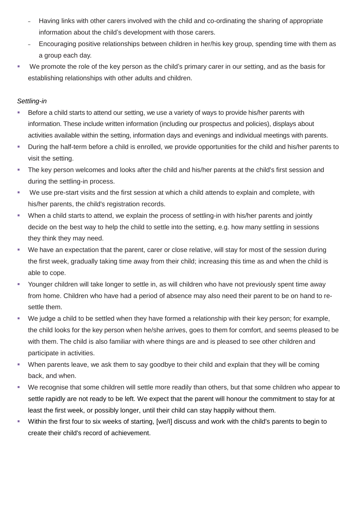- Having links with other carers involved with the child and co-ordinating the sharing of appropriate information about the child's development with those carers.
- ‒ Encouraging positive relationships between children in her/his key group, spending time with them as a group each day.
- We promote the role of the key person as the child's primary carer in our setting, and as the basis for establishing relationships with other adults and children.

## *Settling-in*

- Before a child starts to attend our setting, we use a variety of ways to provide his/her parents with information. These include written information (including our prospectus and policies), displays about activities available within the setting, information days and evenings and individual meetings with parents.
- During the half-term before a child is enrolled, we provide opportunities for the child and his/her parents to visit the setting.
- The key person welcomes and looks after the child and his/her parents at the child's first session and during the settling-in process.
- We use pre-start visits and the first session at which a child attends to explain and complete, with his/her parents, the child's registration records.
- When a child starts to attend, we explain the process of settling-in with his/her parents and jointly decide on the best way to help the child to settle into the setting, e.g. how many settling in sessions they think they may need.
- We have an expectation that the parent, carer or close relative, will stay for most of the session during the first week, gradually taking time away from their child; increasing this time as and when the child is able to cope.
- Younger children will take longer to settle in, as will children who have not previously spent time away from home. Children who have had a period of absence may also need their parent to be on hand to resettle them.
- We judge a child to be settled when they have formed a relationship with their key person; for example, the child looks for the key person when he/she arrives, goes to them for comfort, and seems pleased to be with them. The child is also familiar with where things are and is pleased to see other children and participate in activities.
- When parents leave, we ask them to say goodbye to their child and explain that they will be coming back, and when.
- We recognise that some children will settle more readily than others, but that some children who appear to settle rapidly are not ready to be left. We expect that the parent will honour the commitment to stay for at least the first week, or possibly longer, until their child can stay happily without them.
- Within the first four to six weeks of starting, [we/I] discuss and work with the child's parents to begin to create their child's record of achievement.